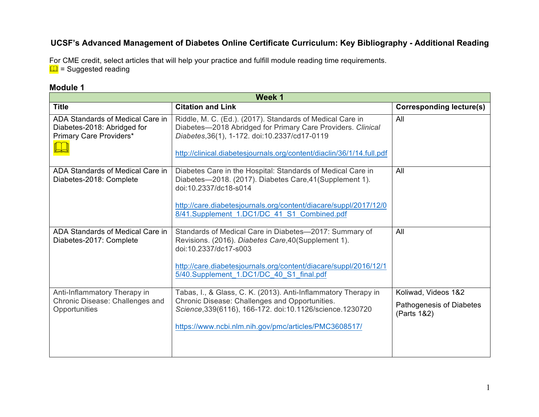# **UCSF's Advanced Management of Diabetes Online Certificate Curriculum: Key Bibliography - Additional Reading**

For CME credit, select articles that will help your practice and fulfill module reading time requirements.  $\Box$  = Suggested reading

### **Module 1**

| Week 1                                                                                     |                                                                                                                                                                                                                                                                     |                                                                |
|--------------------------------------------------------------------------------------------|---------------------------------------------------------------------------------------------------------------------------------------------------------------------------------------------------------------------------------------------------------------------|----------------------------------------------------------------|
| <b>Title</b>                                                                               | <b>Citation and Link</b>                                                                                                                                                                                                                                            | <b>Corresponding lecture(s)</b>                                |
| ADA Standards of Medical Care in<br>Diabetes-2018: Abridged for<br>Primary Care Providers* | Riddle, M. C. (Ed.). (2017). Standards of Medical Care in<br>Diabetes-2018 Abridged for Primary Care Providers. Clinical<br>Diabetes, 36(1), 1-172. doi: 10.2337/cd17-0119<br>http://clinical.diabetesjournals.org/content/diaclin/36/1/14.full.pdf                 | All                                                            |
| ADA Standards of Medical Care in<br>Diabetes-2018: Complete                                | Diabetes Care in the Hospital: Standards of Medical Care in<br>Diabetes-2018. (2017). Diabetes Care, 41 (Supplement 1).<br>doi:10.2337/dc18-s014<br>http://care.diabetesjournals.org/content/diacare/suppl/2017/12/0<br>8/41.Supplement 1.DC1/DC 41 S1 Combined.pdf | All                                                            |
| ADA Standards of Medical Care in<br>Diabetes-2017: Complete                                | Standards of Medical Care in Diabetes-2017: Summary of<br>Revisions. (2016). Diabetes Care, 40 (Supplement 1).<br>doi:10.2337/dc17-s003<br>http://care.diabetesjournals.org/content/diacare/suppl/2016/12/1<br>5/40.Supplement 1.DC1/DC 40 S1 final.pdf             | All                                                            |
| Anti-Inflammatory Therapy in<br>Chronic Disease: Challenges and<br>Opportunities           | Tabas, I., & Glass, C. K. (2013). Anti-Inflammatory Therapy in<br>Chronic Disease: Challenges and Opportunities.<br>Science, 339(6116), 166-172. doi:10.1126/science. 1230720<br>https://www.ncbi.nlm.nih.gov/pmc/articles/PMC3608517/                              | Koliwad, Videos 1&2<br>Pathogenesis of Diabetes<br>(Parts 1&2) |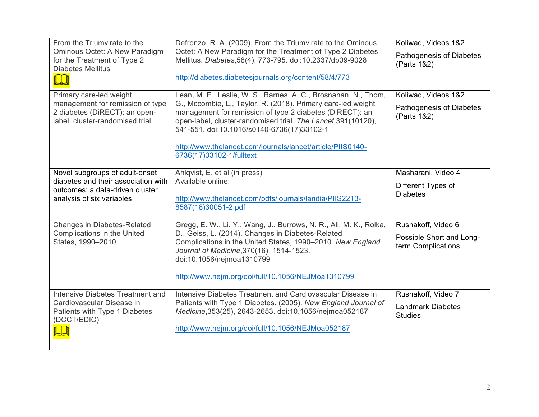| From the Triumvirate to the<br>Ominous Octet: A New Paradigm<br>for the Treatment of Type 2<br><b>Diabetes Mellitus</b><br>Primary care-led weight | Defronzo, R. A. (2009). From the Triumvirate to the Ominous<br>Octet: A New Paradigm for the Treatment of Type 2 Diabetes<br>Mellitus. Diabetes, 58(4), 773-795. doi:10.2337/db09-9028<br>http://diabetes.diabetesjournals.org/content/58/4/773<br>Lean, M. E., Leslie, W. S., Barnes, A. C., Brosnahan, N., Thom,                | Koliwad, Videos 1&2<br>Pathogenesis of Diabetes<br>(Parts 1&2)<br>Koliwad, Videos 1&2 |
|----------------------------------------------------------------------------------------------------------------------------------------------------|-----------------------------------------------------------------------------------------------------------------------------------------------------------------------------------------------------------------------------------------------------------------------------------------------------------------------------------|---------------------------------------------------------------------------------------|
| management for remission of type<br>2 diabetes (DiRECT): an open-<br>label, cluster-randomised trial                                               | G., Mccombie, L., Taylor, R. (2018). Primary care-led weight<br>management for remission of type 2 diabetes (DiRECT): an<br>open-label, cluster-randomised trial. The Lancet, 391(10120),<br>541-551. doi:10.1016/s0140-6736(17)33102-1<br>http://www.thelancet.com/journals/lancet/article/PIIS0140-<br>6736(17)33102-1/fulltext | Pathogenesis of Diabetes<br>(Parts 1&2)                                               |
| Novel subgroups of adult-onset<br>diabetes and their association with<br>outcomes: a data-driven cluster<br>analysis of six variables              | Ahlqvist, E. et al (in press)<br>Available online:<br>http://www.thelancet.com/pdfs/journals/landia/PIIS2213-<br>8587(18)30051-2.pdf                                                                                                                                                                                              | Masharani, Video 4<br>Different Types of<br><b>Diabetes</b>                           |
| <b>Changes in Diabetes-Related</b><br>Complications in the United<br>States, 1990-2010                                                             | Gregg, E. W., Li, Y., Wang, J., Burrows, N. R., Ali, M. K., Rolka,<br>D., Geiss, L. (2014). Changes in Diabetes-Related<br>Complications in the United States, 1990-2010. New England<br>Journal of Medicine, 370(16), 1514-1523.<br>doi:10.1056/nejmoa1310799<br>http://www.nejm.org/doi/full/10.1056/NEJMoa1310799              | Rushakoff, Video 6<br>Possible Short and Long-<br>term Complications                  |
| Intensive Diabetes Treatment and<br>Cardiovascular Disease in<br>Patients with Type 1 Diabetes<br>(DCCT/EDIC)                                      | Intensive Diabetes Treatment and Cardiovascular Disease in<br>Patients with Type 1 Diabetes. (2005). New England Journal of<br>Medicine, 353(25), 2643-2653. doi:10.1056/nejmoa052187<br>http://www.nejm.org/doi/full/10.1056/NEJMoa052187                                                                                        | Rushakoff, Video 7<br><b>Landmark Diabetes</b><br><b>Studies</b>                      |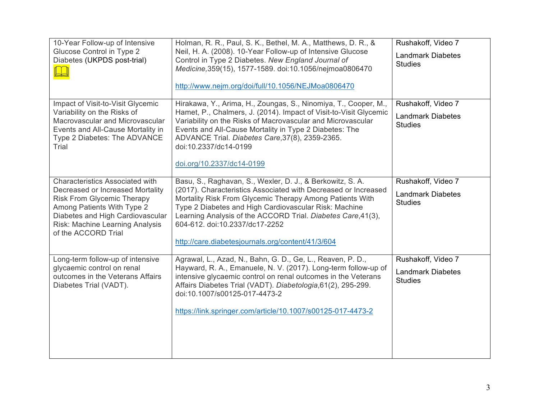| 10-Year Follow-up of Intensive<br>Glucose Control in Type 2<br>Diabetes (UKPDS post-trial)                                                                                                                                           | Holman, R. R., Paul, S. K., Bethel, M. A., Matthews, D. R., &<br>Neil, H. A. (2008). 10-Year Follow-up of Intensive Glucose<br>Control in Type 2 Diabetes. New England Journal of<br>Medicine, 359(15), 1577-1589. doi:10.1056/nejmoa0806470<br>http://www.nejm.org/doi/full/10.1056/NEJMoa0806470                                                                                                      | Rushakoff, Video 7<br><b>Landmark Diabetes</b><br><b>Studies</b> |
|--------------------------------------------------------------------------------------------------------------------------------------------------------------------------------------------------------------------------------------|---------------------------------------------------------------------------------------------------------------------------------------------------------------------------------------------------------------------------------------------------------------------------------------------------------------------------------------------------------------------------------------------------------|------------------------------------------------------------------|
| Impact of Visit-to-Visit Glycemic<br>Variability on the Risks of<br>Macrovascular and Microvascular<br>Events and All-Cause Mortality in<br>Type 2 Diabetes: The ADVANCE<br>Trial                                                    | Hirakawa, Y., Arima, H., Zoungas, S., Ninomiya, T., Cooper, M.,<br>Hamet, P., Chalmers, J. (2014). Impact of Visit-to-Visit Glycemic<br>Variability on the Risks of Macrovascular and Microvascular<br>Events and All-Cause Mortality in Type 2 Diabetes: The<br>ADVANCE Trial. Diabetes Care, 37(8), 2359-2365.<br>doi:10.2337/dc14-0199<br>doi.org/10.2337/dc14-0199                                  | Rushakoff, Video 7<br><b>Landmark Diabetes</b><br><b>Studies</b> |
| Characteristics Associated with<br>Decreased or Increased Mortality<br><b>Risk From Glycemic Therapy</b><br>Among Patients With Type 2<br>Diabetes and High Cardiovascular<br>Risk: Machine Learning Analysis<br>of the ACCORD Trial | Basu, S., Raghavan, S., Wexler, D. J., & Berkowitz, S. A.<br>(2017). Characteristics Associated with Decreased or Increased<br>Mortality Risk From Glycemic Therapy Among Patients With<br>Type 2 Diabetes and High Cardiovascular Risk: Machine<br>Learning Analysis of the ACCORD Trial. Diabetes Care, 41(3),<br>604-612. doi:10.2337/dc17-2252<br>http://care.diabetesjournals.org/content/41/3/604 | Rushakoff, Video 7<br><b>Landmark Diabetes</b><br><b>Studies</b> |
| Long-term follow-up of intensive<br>glycaemic control on renal<br>outcomes in the Veterans Affairs<br>Diabetes Trial (VADT).                                                                                                         | Agrawal, L., Azad, N., Bahn, G. D., Ge, L., Reaven, P. D.,<br>Hayward, R. A., Emanuele, N. V. (2017). Long-term follow-up of<br>intensive glycaemic control on renal outcomes in the Veterans<br>Affairs Diabetes Trial (VADT). Diabetologia, 61(2), 295-299.<br>doi:10.1007/s00125-017-4473-2<br>https://link.springer.com/article/10.1007/s00125-017-4473-2                                           | Rushakoff, Video 7<br><b>Landmark Diabetes</b><br><b>Studies</b> |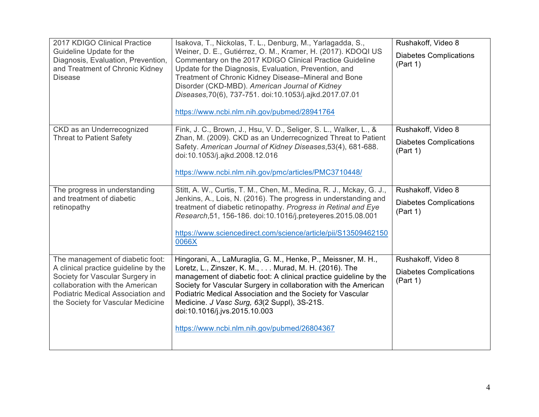| 2017 KDIGO Clinical Practice<br>Guideline Update for the<br>Diagnosis, Evaluation, Prevention,<br>and Treatment of Chronic Kidney<br><b>Disease</b>                                                                      | Isakova, T., Nickolas, T. L., Denburg, M., Yarlagadda, S.,<br>Weiner, D. E., Gutiérrez, O. M., Kramer, H. (2017). KDOQI US<br>Commentary on the 2017 KDIGO Clinical Practice Guideline<br>Update for the Diagnosis, Evaluation, Prevention, and<br>Treatment of Chronic Kidney Disease-Mineral and Bone<br>Disorder (CKD-MBD). American Journal of Kidney<br>Diseases, 70(6), 737-751. doi:10.1053/j.ajkd.2017.07.01<br>https://www.ncbi.nlm.nih.gov/pubmed/28941764 | Rushakoff, Video 8<br><b>Diabetes Complications</b><br>(Part 1) |
|--------------------------------------------------------------------------------------------------------------------------------------------------------------------------------------------------------------------------|----------------------------------------------------------------------------------------------------------------------------------------------------------------------------------------------------------------------------------------------------------------------------------------------------------------------------------------------------------------------------------------------------------------------------------------------------------------------|-----------------------------------------------------------------|
| CKD as an Underrecognized<br><b>Threat to Patient Safety</b>                                                                                                                                                             | Fink, J. C., Brown, J., Hsu, V. D., Seliger, S. L., Walker, L., &<br>Zhan, M. (2009). CKD as an Underrecognized Threat to Patient<br>Safety. American Journal of Kidney Diseases, 53(4), 681-688.<br>doi:10.1053/j.ajkd.2008.12.016<br>https://www.ncbi.nlm.nih.gov/pmc/articles/PMC3710448/                                                                                                                                                                         | Rushakoff, Video 8<br><b>Diabetes Complications</b><br>(Part 1) |
| The progress in understanding<br>and treatment of diabetic<br>retinopathy                                                                                                                                                | Stitt, A. W., Curtis, T. M., Chen, M., Medina, R. J., Mckay, G. J.,<br>Jenkins, A., Lois, N. (2016). The progress in understanding and<br>treatment of diabetic retinopathy. Progress in Retinal and Eye<br>Research, 51, 156-186. doi:10.1016/j.preteyeres. 2015.08.001<br>https://www.sciencedirect.com/science/article/pii/S13509462150<br>0066X                                                                                                                  | Rushakoff, Video 8<br><b>Diabetes Complications</b><br>(Part 1) |
| The management of diabetic foot:<br>A clinical practice guideline by the<br>Society for Vascular Surgery in<br>collaboration with the American<br>Podiatric Medical Association and<br>the Society for Vascular Medicine | Hingorani, A., LaMuraglia, G. M., Henke, P., Meissner, M. H.,<br>Loretz, L., Zinszer, K. M., Murad, M. H. (2016). The<br>management of diabetic foot: A clinical practice guideline by the<br>Society for Vascular Surgery in collaboration with the American<br>Podiatric Medical Association and the Society for Vascular<br>Medicine. J Vasc Surg, 63(2 Suppl), 3S-21S.<br>doi:10.1016/j.jvs.2015.10.003<br>https://www.ncbi.nlm.nih.gov/pubmed/26804367          | Rushakoff, Video 8<br><b>Diabetes Complications</b><br>(Part 1) |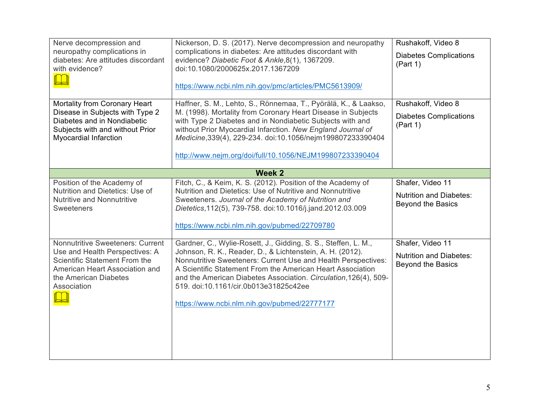| Nerve decompression and<br>neuropathy complications in<br>diabetes: Are attitudes discordant<br>with evidence?<br>Mortality from Coronary Heart                                      | Nickerson, D. S. (2017). Nerve decompression and neuropathy<br>complications in diabetes: Are attitudes discordant with<br>evidence? Diabetic Foot & Ankle, 8(1), 1367209.<br>doi:10.1080/2000625x.2017.1367209<br>https://www.ncbi.nlm.nih.gov/pmc/articles/PMC5613909/<br>Haffner, S. M., Lehto, S., Rönnemaa, T., Pyörälä, K., & Laakso,                                                                             | Rushakoff, Video 8<br><b>Diabetes Complications</b><br>(Part 1)<br>Rushakoff, Video 8 |
|--------------------------------------------------------------------------------------------------------------------------------------------------------------------------------------|-------------------------------------------------------------------------------------------------------------------------------------------------------------------------------------------------------------------------------------------------------------------------------------------------------------------------------------------------------------------------------------------------------------------------|---------------------------------------------------------------------------------------|
| Disease in Subjects with Type 2<br>Diabetes and in Nondiabetic<br>Subjects with and without Prior<br>Myocardial Infarction                                                           | M. (1998). Mortality from Coronary Heart Disease in Subjects<br>with Type 2 Diabetes and in Nondiabetic Subjects with and<br>without Prior Myocardial Infarction. New England Journal of<br>Medicine, 339(4), 229-234. doi:10.1056/nejm199807233390404<br>http://www.nejm.org/doi/full/10.1056/NEJM199807233390404                                                                                                      | <b>Diabetes Complications</b><br>(Part 1)                                             |
|                                                                                                                                                                                      | <b>Week 2</b>                                                                                                                                                                                                                                                                                                                                                                                                           |                                                                                       |
| Position of the Academy of<br>Nutrition and Dietetics: Use of<br><b>Nutritive and Nonnutritive</b><br><b>Sweeteners</b>                                                              | Fitch, C., & Keim, K. S. (2012). Position of the Academy of<br>Nutrition and Dietetics: Use of Nutritive and Nonnutritive<br>Sweeteners. Journal of the Academy of Nutrition and<br>Dietetics, 112(5), 739-758. doi:10.1016/j.jand.2012.03.009<br>https://www.ncbi.nlm.nih.gov/pubmed/22709780                                                                                                                          | Shafer, Video 11<br><b>Nutrition and Diabetes:</b><br><b>Beyond the Basics</b>        |
| <b>Nonnutritive Sweeteners: Current</b><br>Use and Health Perspectives: A<br>Scientific Statement From the<br>American Heart Association and<br>the American Diabetes<br>Association | Gardner, C., Wylie-Rosett, J., Gidding, S. S., Steffen, L. M.,<br>Johnson, R. K., Reader, D., & Lichtenstein, A. H. (2012).<br>Nonnutritive Sweeteners: Current Use and Health Perspectives:<br>A Scientific Statement From the American Heart Association<br>and the American Diabetes Association. Circulation, 126(4), 509-<br>519. doi:10.1161/cir.0b013e31825c42ee<br>https://www.ncbi.nlm.nih.gov/pubmed/22777177 | Shafer, Video 11<br><b>Nutrition and Diabetes:</b><br><b>Beyond the Basics</b>        |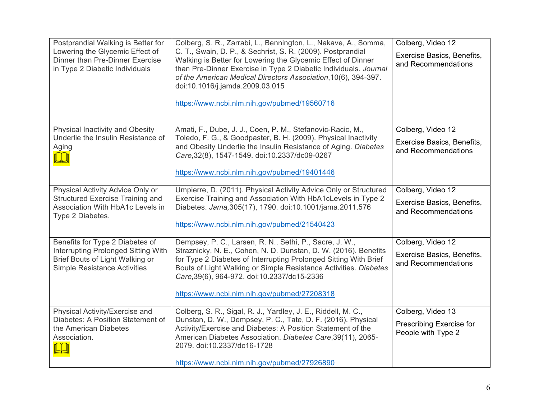| Postprandial Walking is Better for<br>Lowering the Glycemic Effect of<br>Dinner than Pre-Dinner Exercise<br>in Type 2 Diabetic Individuals       | Colberg, S. R., Zarrabi, L., Bennington, L., Nakave, A., Somma,<br>C. T., Swain, D. P., & Sechrist, S. R. (2009). Postprandial<br>Walking is Better for Lowering the Glycemic Effect of Dinner<br>than Pre-Dinner Exercise in Type 2 Diabetic Individuals. Journal<br>of the American Medical Directors Association, 10(6), 394-397.<br>doi:10.1016/j.jamda.2009.03.015<br>https://www.ncbi.nlm.nih.gov/pubmed/19560716 | Colberg, Video 12<br>Exercise Basics, Benefits,<br>and Recommendations |
|--------------------------------------------------------------------------------------------------------------------------------------------------|-------------------------------------------------------------------------------------------------------------------------------------------------------------------------------------------------------------------------------------------------------------------------------------------------------------------------------------------------------------------------------------------------------------------------|------------------------------------------------------------------------|
| Physical Inactivity and Obesity<br>Underlie the Insulin Resistance of<br>Aging                                                                   | Amati, F., Dube, J. J., Coen, P. M., Stefanovic-Racic, M.,<br>Toledo, F. G., & Goodpaster, B. H. (2009). Physical Inactivity<br>and Obesity Underlie the Insulin Resistance of Aging. Diabetes<br>Care, 32(8), 1547-1549. doi:10.2337/dc09-0267                                                                                                                                                                         | Colberg, Video 12<br>Exercise Basics, Benefits,<br>and Recommendations |
|                                                                                                                                                  | https://www.ncbi.nlm.nih.gov/pubmed/19401446                                                                                                                                                                                                                                                                                                                                                                            |                                                                        |
| Physical Activity Advice Only or<br><b>Structured Exercise Training and</b><br>Association With HbA1c Levels in<br>Type 2 Diabetes.              | Umpierre, D. (2011). Physical Activity Advice Only or Structured<br>Exercise Training and Association With HbA1cLevels in Type 2<br>Diabetes. Jama, 305(17), 1790. doi:10.1001/jama.2011.576<br>https://www.ncbi.nlm.nih.gov/pubmed/21540423                                                                                                                                                                            | Colberg, Video 12<br>Exercise Basics, Benefits,<br>and Recommendations |
| Benefits for Type 2 Diabetes of<br>Interrupting Prolonged Sitting With<br>Brief Bouts of Light Walking or<br><b>Simple Resistance Activities</b> | Dempsey, P. C., Larsen, R. N., Sethi, P., Sacre, J. W.,<br>Straznicky, N. E., Cohen, N. D. Dunstan, D. W. (2016). Benefits<br>for Type 2 Diabetes of Interrupting Prolonged Sitting With Brief<br>Bouts of Light Walking or Simple Resistance Activities. Diabetes<br>Care, 39(6), 964-972. doi: 10.2337/dc15-2336<br>https://www.ncbi.nlm.nih.gov/pubmed/27208318                                                      | Colberg, Video 12<br>Exercise Basics, Benefits,<br>and Recommendations |
| Physical Activity/Exercise and<br>Diabetes: A Position Statement of<br>the American Diabetes<br>Association.                                     | Colberg, S. R., Sigal, R. J., Yardley, J. E., Riddell, M. C.,<br>Dunstan, D. W., Dempsey, P. C., Tate, D. F. (2016). Physical<br>Activity/Exercise and Diabetes: A Position Statement of the<br>American Diabetes Association. Diabetes Care, 39(11), 2065-<br>2079. doi:10.2337/dc16-1728<br>https://www.ncbi.nlm.nih.gov/pubmed/27926890                                                                              | Colberg, Video 13<br>Prescribing Exercise for<br>People with Type 2    |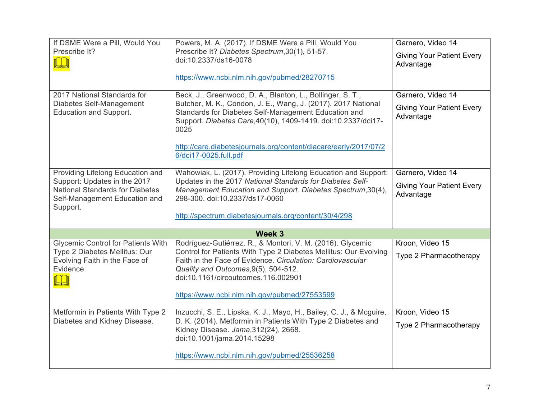| If DSME Were a Pill, Would You                                                                                      | Powers, M. A. (2017). If DSME Were a Pill, Would You                                                                                                                                                          | Garnero, Video 14                             |
|---------------------------------------------------------------------------------------------------------------------|---------------------------------------------------------------------------------------------------------------------------------------------------------------------------------------------------------------|-----------------------------------------------|
| Prescribe It?                                                                                                       | Prescribe It? Diabetes Spectrum, 30(1), 51-57.<br>doi:10.2337/ds16-0078                                                                                                                                       | <b>Giving Your Patient Every</b><br>Advantage |
|                                                                                                                     | https://www.ncbi.nlm.nih.gov/pubmed/28270715                                                                                                                                                                  |                                               |
| 2017 National Standards for                                                                                         | Beck, J., Greenwood, D. A., Blanton, L., Bollinger, S. T.,                                                                                                                                                    | Garnero, Video 14                             |
| Diabetes Self-Management<br>Education and Support.                                                                  | Butcher, M. K., Condon, J. E., Wang, J. (2017). 2017 National<br>Standards for Diabetes Self-Management Education and<br>Support. Diabetes Care, 40(10), 1409-1419. doi:10.2337/dci17-<br>0025                | <b>Giving Your Patient Every</b><br>Advantage |
|                                                                                                                     | http://care.diabetesjournals.org/content/diacare/early/2017/07/2<br>6/dci17-0025.full.pdf                                                                                                                     |                                               |
| Providing Lifelong Education and                                                                                    | Wahowiak, L. (2017). Providing Lifelong Education and Support:                                                                                                                                                | Garnero, Video 14                             |
| Support: Updates in the 2017<br><b>National Standards for Diabetes</b><br>Self-Management Education and<br>Support. | Updates in the 2017 National Standards for Diabetes Self-<br>Management Education and Support. Diabetes Spectrum, 30(4),<br>298-300. doi:10.2337/ds17-0060                                                    | <b>Giving Your Patient Every</b><br>Advantage |
|                                                                                                                     | http://spectrum.diabetesjournals.org/content/30/4/298                                                                                                                                                         |                                               |
|                                                                                                                     | Week 3                                                                                                                                                                                                        |                                               |
| <b>Glycemic Control for Patients With</b>                                                                           | Rodríguez-Gutiérrez, R., & Montori, V. M. (2016). Glycemic                                                                                                                                                    | Kroon, Video 15                               |
| Type 2 Diabetes Mellitus: Our<br>Evolving Faith in the Face of<br>Evidence                                          | Control for Patients With Type 2 Diabetes Mellitus: Our Evolving<br>Faith in the Face of Evidence. Circulation: Cardiovascular<br>Quality and Outcomes, 9(5), 504-512.<br>doi:10.1161/circoutcomes.116.002901 | Type 2 Pharmacotherapy                        |
|                                                                                                                     | https://www.ncbi.nlm.nih.gov/pubmed/27553599                                                                                                                                                                  |                                               |
| Metformin in Patients With Type 2                                                                                   | Inzucchi, S. E., Lipska, K. J., Mayo, H., Bailey, C. J., & Mcguire,                                                                                                                                           | Kroon, Video 15                               |
| Diabetes and Kidney Disease.                                                                                        | D. K. (2014). Metformin in Patients With Type 2 Diabetes and<br>Kidney Disease. Jama, 312(24), 2668.<br>doi:10.1001/jama.2014.15298                                                                           | Type 2 Pharmacotherapy                        |
|                                                                                                                     | https://www.ncbi.nlm.nih.gov/pubmed/25536258                                                                                                                                                                  |                                               |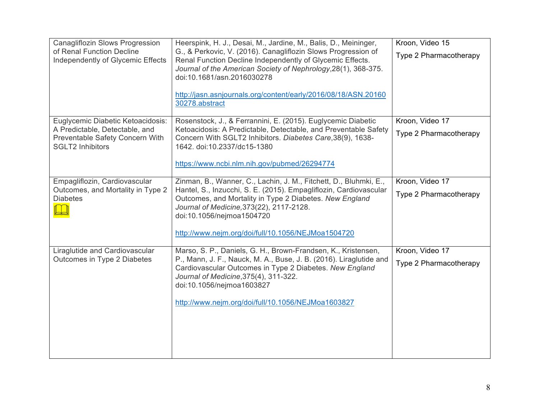| <b>Canagliflozin Slows Progression</b><br>of Renal Function Decline<br>Independently of Glycemic Effects                          | Heerspink, H. J., Desai, M., Jardine, M., Balis, D., Meininger,<br>G., & Perkovic, V. (2016). Canagliflozin Slows Progression of<br>Renal Function Decline Independently of Glycemic Effects.<br>Journal of the American Society of Nephrology, 28(1), 368-375.<br>doi:10.1681/asn.2016030278<br>http://jasn.asnjournals.org/content/early/2016/08/18/ASN.20160<br>30278.abstract | Kroon, Video 15<br>Type 2 Pharmacotherapy |
|-----------------------------------------------------------------------------------------------------------------------------------|-----------------------------------------------------------------------------------------------------------------------------------------------------------------------------------------------------------------------------------------------------------------------------------------------------------------------------------------------------------------------------------|-------------------------------------------|
| Euglycemic Diabetic Ketoacidosis:<br>A Predictable, Detectable, and<br>Preventable Safety Concern With<br><b>SGLT2 Inhibitors</b> | Rosenstock, J., & Ferrannini, E. (2015). Euglycemic Diabetic<br>Ketoacidosis: A Predictable, Detectable, and Preventable Safety<br>Concern With SGLT2 Inhibitors. Diabetes Care, 38(9), 1638-<br>1642. doi:10.2337/dc15-1380<br>https://www.ncbi.nlm.nih.gov/pubmed/26294774                                                                                                      | Kroon, Video 17<br>Type 2 Pharmacotherapy |
| Empagliflozin, Cardiovascular<br>Outcomes, and Mortality in Type 2<br><b>Diabetes</b>                                             | Zinman, B., Wanner, C., Lachin, J. M., Fitchett, D., Bluhmki, E.,<br>Hantel, S., Inzucchi, S. E. (2015). Empagliflozin, Cardiovascular<br>Outcomes, and Mortality in Type 2 Diabetes. New England<br>Journal of Medicine, 373(22), 2117-2128.<br>doi:10.1056/nejmoa1504720<br>http://www.nejm.org/doi/full/10.1056/NEJMoa1504720                                                  | Kroon, Video 17<br>Type 2 Pharmacotherapy |
| Liraglutide and Cardiovascular<br>Outcomes in Type 2 Diabetes                                                                     | Marso, S. P., Daniels, G. H., Brown-Frandsen, K., Kristensen,<br>P., Mann, J. F., Nauck, M. A., Buse, J. B. (2016). Liraglutide and<br>Cardiovascular Outcomes in Type 2 Diabetes. New England<br>Journal of Medicine, 375(4), 311-322.<br>doi:10.1056/nejmoa1603827<br>http://www.nejm.org/doi/full/10.1056/NEJMoa1603827                                                        | Kroon, Video 17<br>Type 2 Pharmacotherapy |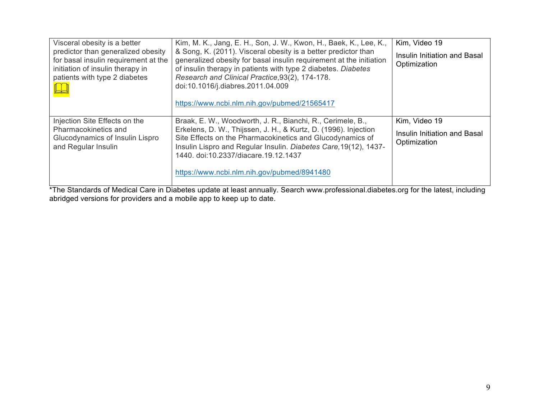| Visceral obesity is a better<br>predictor than generalized obesity<br>for basal insulin requirement at the<br>initiation of insulin therapy in<br>patients with type 2 diabetes | Kim, M. K., Jang, E. H., Son, J. W., Kwon, H., Baek, K., Lee, K.,<br>& Song, K. (2011). Visceral obesity is a better predictor than<br>generalized obesity for basal insulin requirement at the initiation<br>of insulin therapy in patients with type 2 diabetes. Diabetes<br>Research and Clinical Practice, 93(2), 174-178.<br>doi:10.1016/j.diabres.2011.04.009<br>https://www.ncbi.nlm.nih.gov/pubmed/21565417 | Kim, Video 19<br>Insulin Initiation and Basal<br>Optimization |
|---------------------------------------------------------------------------------------------------------------------------------------------------------------------------------|---------------------------------------------------------------------------------------------------------------------------------------------------------------------------------------------------------------------------------------------------------------------------------------------------------------------------------------------------------------------------------------------------------------------|---------------------------------------------------------------|
| Injection Site Effects on the<br>Pharmacokinetics and<br>Glucodynamics of Insulin Lispro<br>and Regular Insulin                                                                 | Braak, E. W., Woodworth, J. R., Bianchi, R., Cerimele, B.,<br>Erkelens, D. W., Thijssen, J. H., & Kurtz, D. (1996). Injection<br>Site Effects on the Pharmacokinetics and Glucodynamics of<br>Insulin Lispro and Regular Insulin. Diabetes Care, 19(12), 1437-<br>1440. doi:10.2337/diacare.19.12.1437<br>https://www.ncbi.nlm.nih.gov/pubmed/8941480                                                               | Kim, Video 19<br>Insulin Initiation and Basal<br>Optimization |

\*The Standards of Medical Care in Diabetes update at least annually. Search www.professional.diabetes.org for the latest, including abridged versions for providers and a mobile app to keep up to date.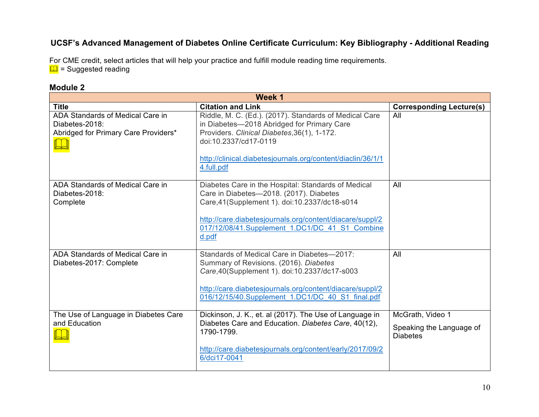# **UCSF's Advanced Management of Diabetes Online Certificate Curriculum: Key Bibliography - Additional Reading**

For CME credit, select articles that will help your practice and fulfill module reading time requirements.  $\Box$  = Suggested reading

### **Module 2**

| Week 1                                                                                     |                                                                                                                                                                                                                                                                          |                                                                 |
|--------------------------------------------------------------------------------------------|--------------------------------------------------------------------------------------------------------------------------------------------------------------------------------------------------------------------------------------------------------------------------|-----------------------------------------------------------------|
| <b>Title</b>                                                                               | <b>Citation and Link</b>                                                                                                                                                                                                                                                 | <b>Corresponding Lecture(s)</b>                                 |
| ADA Standards of Medical Care in<br>Diabetes-2018:<br>Abridged for Primary Care Providers* | Riddle, M. C. (Ed.). (2017). Standards of Medical Care<br>in Diabetes-2018 Abridged for Primary Care<br>Providers. Clinical Diabetes, 36(1), 1-172.<br>doi:10.2337/cd17-0119<br>http://clinical.diabetesjournals.org/content/diaclin/36/1/1<br>4.full.pdf                | All                                                             |
| ADA Standards of Medical Care in<br>Diabetes-2018:<br>Complete                             | Diabetes Care in the Hospital: Standards of Medical<br>Care in Diabetes-2018. (2017). Diabetes<br>Care, 41 (Supplement 1). doi: 10.2337/dc18-s014<br>http://care.diabetesjournals.org/content/diacare/suppl/2<br>017/12/08/41.Supplement 1.DC1/DC 41 S1 Combine<br>d.pdf | All                                                             |
| ADA Standards of Medical Care in<br>Diabetes-2017: Complete                                | Standards of Medical Care in Diabetes-2017:<br>Summary of Revisions. (2016). Diabetes<br>Care, 40 (Supplement 1). doi: 10.2337/dc17-s003<br>http://care.diabetesjournals.org/content/diacare/suppl/2<br>016/12/15/40.Supplement 1.DC1/DC 40 S1 final.pdf                 | All                                                             |
| The Use of Language in Diabetes Care<br>and Education                                      | Dickinson, J. K., et. al (2017). The Use of Language in<br>Diabetes Care and Education. Diabetes Care, 40(12),<br>1790-1799.<br>http://care.diabetesjournals.org/content/early/2017/09/2<br>6/dci17-0041                                                                 | McGrath, Video 1<br>Speaking the Language of<br><b>Diabetes</b> |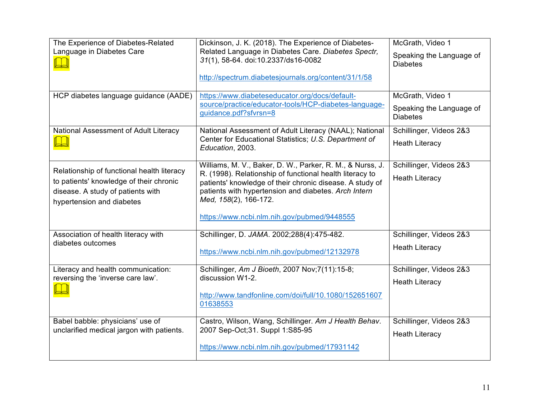| The Experience of Diabetes-Related                                                                                         | Dickinson, J. K. (2018). The Experience of Diabetes-                                                                                                                                                  | McGrath, Video 1                            |
|----------------------------------------------------------------------------------------------------------------------------|-------------------------------------------------------------------------------------------------------------------------------------------------------------------------------------------------------|---------------------------------------------|
| Language in Diabetes Care                                                                                                  | Related Language in Diabetes Care. Diabetes Spectr,<br>31(1), 58-64. doi:10.2337/ds16-0082                                                                                                            | Speaking the Language of<br><b>Diabetes</b> |
|                                                                                                                            | http://spectrum.diabetesjournals.org/content/31/1/58                                                                                                                                                  |                                             |
| HCP diabetes language guidance (AADE)                                                                                      | https://www.diabeteseducator.org/docs/default-                                                                                                                                                        | McGrath, Video 1                            |
|                                                                                                                            | source/practice/educator-tools/HCP-diabetes-language-<br>guidance.pdf?sfvrsn=8                                                                                                                        | Speaking the Language of<br><b>Diabetes</b> |
| National Assessment of Adult Literacy                                                                                      | National Assessment of Adult Literacy (NAAL); National                                                                                                                                                | Schillinger, Videos 2&3                     |
|                                                                                                                            | Center for Educational Statistics; U.S. Department of<br>Education, 2003.                                                                                                                             | <b>Heath Literacy</b>                       |
|                                                                                                                            | Williams, M. V., Baker, D. W., Parker, R. M., & Nurss, J.                                                                                                                                             | Schillinger, Videos 2&3                     |
| Relationship of functional health literacy<br>to patients' knowledge of their chronic<br>disease. A study of patients with | R. (1998). Relationship of functional health literacy to<br>patients' knowledge of their chronic disease. A study of<br>patients with hypertension and diabetes. Arch Intern<br>Med, 158(2), 166-172. | <b>Heath Literacy</b>                       |
| hypertension and diabetes                                                                                                  |                                                                                                                                                                                                       |                                             |
|                                                                                                                            | https://www.ncbi.nlm.nih.gov/pubmed/9448555                                                                                                                                                           |                                             |
| Association of health literacy with                                                                                        | Schillinger, D. JAMA. 2002;288(4):475-482.                                                                                                                                                            | Schillinger, Videos 2&3                     |
| diabetes outcomes                                                                                                          | https://www.ncbi.nlm.nih.gov/pubmed/12132978                                                                                                                                                          | <b>Heath Literacy</b>                       |
| Literacy and health communication:                                                                                         | Schillinger, Am J Bioeth, 2007 Nov; 7(11): 15-8;                                                                                                                                                      | Schillinger, Videos 2&3                     |
| reversing the 'inverse care law'.                                                                                          | discussion W1-2.                                                                                                                                                                                      | <b>Heath Literacy</b>                       |
|                                                                                                                            | http://www.tandfonline.com/doi/full/10.1080/152651607<br>01638553                                                                                                                                     |                                             |
| Babel babble: physicians' use of                                                                                           | Castro, Wilson, Wang, Schillinger. Am J Health Behav.                                                                                                                                                 | Schillinger, Videos 2&3                     |
| unclarified medical jargon with patients.                                                                                  | 2007 Sep-Oct; 31. Suppl 1: S85-95                                                                                                                                                                     | <b>Heath Literacy</b>                       |
|                                                                                                                            | https://www.ncbi.nlm.nih.gov/pubmed/17931142                                                                                                                                                          |                                             |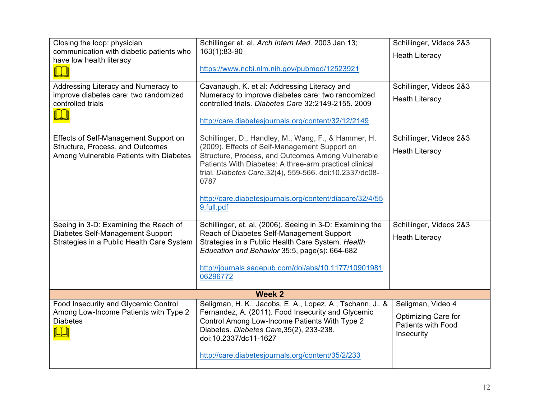| Closing the loop: physician                                                   | Schillinger et. al. Arch Intern Med. 2003 Jan 13;                                                                                                                                                                               | Schillinger, Videos 2&3                                        |
|-------------------------------------------------------------------------------|---------------------------------------------------------------------------------------------------------------------------------------------------------------------------------------------------------------------------------|----------------------------------------------------------------|
| communication with diabetic patients who<br>have low health literacy          | 163(1):83-90                                                                                                                                                                                                                    | <b>Heath Literacy</b>                                          |
|                                                                               | https://www.ncbi.nlm.nih.gov/pubmed/12523921                                                                                                                                                                                    |                                                                |
| Addressing Literacy and Numeracy to                                           | Cavanaugh, K. et al: Addressing Literacy and                                                                                                                                                                                    | Schillinger, Videos 2&3                                        |
| improve diabetes care: two randomized<br>controlled trials                    | Numeracy to improve diabetes care: two randomized<br>controlled trials. Diabetes Care 32:2149-2155. 2009                                                                                                                        | <b>Heath Literacy</b>                                          |
|                                                                               | http://care.diabetesjournals.org/content/32/12/2149                                                                                                                                                                             |                                                                |
| Effects of Self-Management Support on                                         | Schillinger, D., Handley, M., Wang, F., & Hammer, H.                                                                                                                                                                            | Schillinger, Videos 2&3                                        |
| Structure, Process, and Outcomes<br>Among Vulnerable Patients with Diabetes   | (2009). Effects of Self-Management Support on<br>Structure, Process, and Outcomes Among Vulnerable<br>Patients With Diabetes: A three-arm practical clinical<br>trial. Diabetes Care, 32(4), 559-566. doi:10.2337/dc08-<br>0787 | <b>Heath Literacy</b>                                          |
|                                                                               | http://care.diabetesjournals.org/content/diacare/32/4/55<br>9.full.pdf                                                                                                                                                          |                                                                |
| Seeing in 3-D: Examining the Reach of                                         | Schillinger, et. al. (2006). Seeing in 3-D: Examining the                                                                                                                                                                       | Schillinger, Videos 2&3                                        |
| Diabetes Self-Management Support<br>Strategies in a Public Health Care System | Reach of Diabetes Self-Management Support<br>Strategies in a Public Health Care System. Health                                                                                                                                  | <b>Heath Literacy</b>                                          |
|                                                                               | Education and Behavior 35:5, page(s): 664-682                                                                                                                                                                                   |                                                                |
|                                                                               | http://journals.sagepub.com/doi/abs/10.1177/10901981                                                                                                                                                                            |                                                                |
|                                                                               | 06296772                                                                                                                                                                                                                        |                                                                |
|                                                                               | <b>Week 2</b>                                                                                                                                                                                                                   |                                                                |
| Food Insecurity and Glycemic Control                                          | Seligman, H. K., Jacobs, E. A., Lopez, A., Tschann, J., &                                                                                                                                                                       | Seligman, Video 4                                              |
| Among Low-Income Patients with Type 2<br><b>Diabetes</b>                      | Fernandez, A. (2011). Food Insecurity and Glycemic<br>Control Among Low-Income Patients With Type 2<br>Diabetes. Diabetes Care, 35(2), 233-238.<br>doi:10.2337/dc11-1627                                                        | Optimizing Care for<br><b>Patients with Food</b><br>Insecurity |
|                                                                               | http://care.diabetesjournals.org/content/35/2/233                                                                                                                                                                               |                                                                |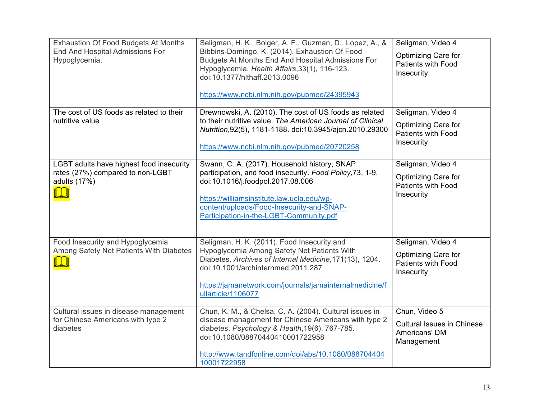| <b>Exhaustion Of Food Budgets At Months</b><br>End And Hospital Admissions For<br>Hypoglycemia. | Seligman, H. K., Bolger, A. F., Guzman, D., Lopez, A., &<br>Bibbins-Domingo, K. (2014). Exhaustion Of Food<br>Budgets At Months End And Hospital Admissions For<br>Hypoglycemia. Health Affairs, 33(1), 116-123.<br>doi:10.1377/hlthaff.2013.0096<br>https://www.ncbi.nlm.nih.gov/pubmed/24395943 | Seligman, Video 4<br>Optimizing Care for<br>Patients with Food<br>Insecurity               |
|-------------------------------------------------------------------------------------------------|---------------------------------------------------------------------------------------------------------------------------------------------------------------------------------------------------------------------------------------------------------------------------------------------------|--------------------------------------------------------------------------------------------|
| The cost of US foods as related to their<br>nutritive value                                     | Drewnowski, A. (2010). The cost of US foods as related<br>to their nutritive value. The American Journal of Clinical<br>Nutrition, 92(5), 1181-1188. doi:10.3945/ajcn.2010.29300<br>https://www.ncbi.nlm.nih.gov/pubmed/20720258                                                                  | Seligman, Video 4<br><b>Optimizing Care for</b><br><b>Patients with Food</b><br>Insecurity |
| LGBT adults have highest food insecurity<br>rates (27%) compared to non-LGBT<br>adults (17%)    | Swann, C. A. (2017). Household history, SNAP<br>participation, and food insecurity. Food Policy, 73, 1-9.<br>doi:10.1016/j.foodpol.2017.08.006<br>https://williamsinstitute.law.ucla.edu/wp-<br>content/uploads/Food-Insecurity-and-SNAP-<br>Participation-in-the-LGBT-Community.pdf              | Seligman, Video 4<br>Optimizing Care for<br><b>Patients with Food</b><br>Insecurity        |
| Food Insecurity and Hypoglycemia<br>Among Safety Net Patients With Diabetes                     | Seligman, H. K. (2011). Food Insecurity and<br>Hypoglycemia Among Safety Net Patients With<br>Diabetes. Archives of Internal Medicine, 171(13), 1204.<br>doi:10.1001/archinternmed.2011.287<br>https://jamanetwork.com/journals/jamainternalmedicine/f<br>ullarticle/1106077                      | Seligman, Video 4<br>Optimizing Care for<br><b>Patients with Food</b><br>Insecurity        |
| Cultural issues in disease management<br>for Chinese Americans with type 2<br>diabetes          | Chun, K. M., & Chelsa, C. A. (2004). Cultural issues in<br>disease management for Chinese Americans with type 2<br>diabetes. Psychology & Health, 19(6), 767-785.<br>doi:10.1080/08870440410001722958<br>http://www.tandfonline.com/doi/abs/10.1080/088704404<br>10001722958                      | Chun, Video 5<br><b>Cultural Issues in Chinese</b><br>Americans' DM<br>Management          |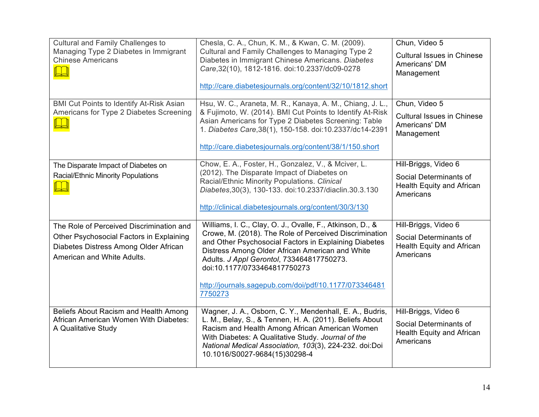| Cultural and Family Challenges to<br>Managing Type 2 Diabetes in Immigrant<br><b>Chinese Americans</b>                                                      | Chesla, C. A., Chun, K. M., & Kwan, C. M. (2009).<br>Cultural and Family Challenges to Managing Type 2<br>Diabetes in Immigrant Chinese Americans. Diabetes<br>Care, 32(10), 1812-1816. doi:10.2337/dc09-0278<br>http://care.diabetesjournals.org/content/32/10/1812.short                                                                                                       | Chun, Video 5<br><b>Cultural Issues in Chinese</b><br>Americans' DM<br>Management        |
|-------------------------------------------------------------------------------------------------------------------------------------------------------------|----------------------------------------------------------------------------------------------------------------------------------------------------------------------------------------------------------------------------------------------------------------------------------------------------------------------------------------------------------------------------------|------------------------------------------------------------------------------------------|
| <b>BMI Cut Points to Identify At-Risk Asian</b><br>Americans for Type 2 Diabetes Screening                                                                  | Hsu, W. C., Araneta, M. R., Kanaya, A. M., Chiang, J. L.,<br>& Fujimoto, W. (2014). BMI Cut Points to Identify At-Risk<br>Asian Americans for Type 2 Diabetes Screening: Table<br>1. Diabetes Care, 38(1), 150-158. doi: 10.2337/dc14-2391<br>http://care.diabetesjournals.org/content/38/1/150.short                                                                            | Chun, Video 5<br><b>Cultural Issues in Chinese</b><br>Americans' DM<br>Management        |
| The Disparate Impact of Diabetes on<br><b>Racial/Ethnic Minority Populations</b>                                                                            | Chow, E. A., Foster, H., Gonzalez, V., & Mciver, L.<br>(2012). The Disparate Impact of Diabetes on<br>Racial/Ethnic Minority Populations. Clinical<br>Diabetes, 30(3), 130-133. doi: 10.2337/diaclin. 30.3.130<br>http://clinical.diabetesjournals.org/content/30/3/130                                                                                                          | Hill-Briggs, Video 6<br>Social Determinants of<br>Health Equity and African<br>Americans |
| The Role of Perceived Discrimination and<br>Other Psychosocial Factors in Explaining<br>Diabetes Distress Among Older African<br>American and White Adults. | Williams, I. C., Clay, O. J., Ovalle, F., Atkinson, D., &<br>Crowe, M. (2018). The Role of Perceived Discrimination<br>and Other Psychosocial Factors in Explaining Diabetes<br>Distress Among Older African American and White<br>Adults. J Appl Gerontol, 733464817750273.<br>doi:10.1177/0733464817750273<br>http://journals.sagepub.com/doi/pdf/10.1177/073346481<br>7750273 | Hill-Briggs, Video 6<br>Social Determinants of<br>Health Equity and African<br>Americans |
| Beliefs About Racism and Health Among<br>African American Women With Diabetes:<br>A Qualitative Study                                                       | Wagner, J. A., Osborn, C. Y., Mendenhall, E. A., Budris,<br>L. M., Belay, S., & Tennen, H. A. (2011). Beliefs About<br>Racism and Health Among African American Women<br>With Diabetes: A Qualitative Study. Journal of the<br>National Medical Association, 103(3), 224-232. doi:Doi<br>10.1016/S0027-9684(15)30298-4                                                           | Hill-Briggs, Video 6<br>Social Determinants of<br>Health Equity and African<br>Americans |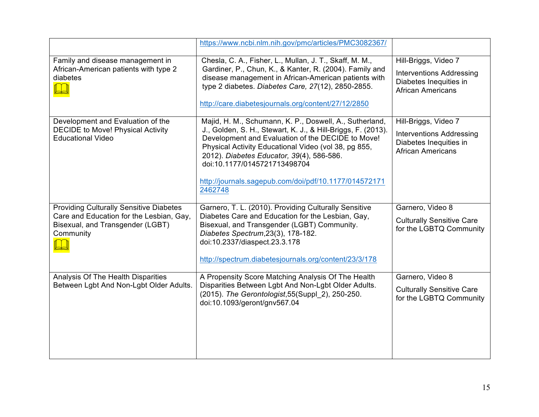|                                                                                                                                             | https://www.ncbi.nlm.nih.gov/pmc/articles/PMC3082367/                                                                                                                                                                                                                                                                                                                                 |                                                                                                               |
|---------------------------------------------------------------------------------------------------------------------------------------------|---------------------------------------------------------------------------------------------------------------------------------------------------------------------------------------------------------------------------------------------------------------------------------------------------------------------------------------------------------------------------------------|---------------------------------------------------------------------------------------------------------------|
| Family and disease management in<br>African-American patients with type 2<br>diabetes                                                       | Chesla, C. A., Fisher, L., Mullan, J. T., Skaff, M. M.,<br>Gardiner, P., Chun, K., & Kanter, R. (2004). Family and<br>disease management in African-American patients with<br>type 2 diabetes. Diabetes Care, 27(12), 2850-2855.<br>http://care.diabetesjournals.org/content/27/12/2850                                                                                               | Hill-Briggs, Video 7<br><b>Interventions Addressing</b><br>Diabetes Inequities in<br><b>African Americans</b> |
| Development and Evaluation of the<br><b>DECIDE to Move! Physical Activity</b><br><b>Educational Video</b>                                   | Majid, H. M., Schumann, K. P., Doswell, A., Sutherland,<br>J., Golden, S. H., Stewart, K. J., & Hill-Briggs, F. (2013).<br>Development and Evaluation of the DECIDE to Move!<br>Physical Activity Educational Video (vol 38, pg 855,<br>2012). Diabetes Educator, 39(4), 586-586.<br>doi:10.1177/0145721713498704<br>http://journals.sagepub.com/doi/pdf/10.1177/014572171<br>2462748 | Hill-Briggs, Video 7<br><b>Interventions Addressing</b><br>Diabetes Inequities in<br><b>African Americans</b> |
| <b>Providing Culturally Sensitive Diabetes</b><br>Care and Education for the Lesbian, Gay,<br>Bisexual, and Transgender (LGBT)<br>Community | Garnero, T. L. (2010). Providing Culturally Sensitive<br>Diabetes Care and Education for the Lesbian, Gay,<br>Bisexual, and Transgender (LGBT) Community.<br>Diabetes Spectrum, 23(3), 178-182.<br>doi:10.2337/diaspect.23.3.178<br>http://spectrum.diabetesjournals.org/content/23/3/178                                                                                             | Garnero, Video 8<br><b>Culturally Sensitive Care</b><br>for the LGBTQ Community                               |
| Analysis Of The Health Disparities<br>Between Lgbt And Non-Lgbt Older Adults.                                                               | A Propensity Score Matching Analysis Of The Health<br>Disparities Between Lgbt And Non-Lgbt Older Adults.<br>(2015). The Gerontologist, 55(Suppl 2), 250-250.<br>doi:10.1093/geront/gnv567.04                                                                                                                                                                                         | Garnero, Video 8<br><b>Culturally Sensitive Care</b><br>for the LGBTQ Community                               |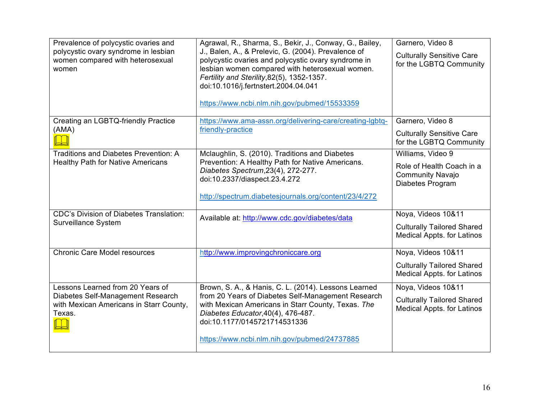| Prevalence of polycystic ovaries and<br>polycystic ovary syndrome in lesbian<br>women compared with heterosexual<br>women | Agrawal, R., Sharma, S., Bekir, J., Conway, G., Bailey,<br>J., Balen, A., & Prelevic, G. (2004). Prevalence of<br>polycystic ovaries and polycystic ovary syndrome in<br>lesbian women compared with heterosexual women.<br>Fertility and Sterility, 82(5), 1352-1357.<br>doi:10.1016/j.fertnstert.2004.04.041<br>https://www.ncbi.nlm.nih.gov/pubmed/15533359 | Garnero, Video 8<br><b>Culturally Sensitive Care</b><br>for the LGBTQ Community |
|---------------------------------------------------------------------------------------------------------------------------|----------------------------------------------------------------------------------------------------------------------------------------------------------------------------------------------------------------------------------------------------------------------------------------------------------------------------------------------------------------|---------------------------------------------------------------------------------|
| Creating an LGBTQ-friendly Practice<br>(AMA)                                                                              | https://www.ama-assn.org/delivering-care/creating-lgbtq-<br>friendly-practice                                                                                                                                                                                                                                                                                  | Garnero, Video 8                                                                |
|                                                                                                                           |                                                                                                                                                                                                                                                                                                                                                                | <b>Culturally Sensitive Care</b><br>for the LGBTQ Community                     |
| <b>Traditions and Diabetes Prevention: A</b>                                                                              | Mclaughlin, S. (2010). Traditions and Diabetes                                                                                                                                                                                                                                                                                                                 | Williams, Video 9                                                               |
| <b>Healthy Path for Native Americans</b>                                                                                  | Prevention: A Healthy Path for Native Americans.<br>Diabetes Spectrum, 23(4), 272-277.<br>doi:10.2337/diaspect.23.4.272                                                                                                                                                                                                                                        | Role of Health Coach in a<br><b>Community Navajo</b><br>Diabetes Program        |
|                                                                                                                           | http://spectrum.diabetesjournals.org/content/23/4/272                                                                                                                                                                                                                                                                                                          |                                                                                 |
| <b>CDC's Division of Diabetes Translation:</b>                                                                            | Available at: http://www.cdc.gov/diabetes/data                                                                                                                                                                                                                                                                                                                 | Noya, Videos 10&11                                                              |
| Surveillance System                                                                                                       |                                                                                                                                                                                                                                                                                                                                                                | <b>Culturally Tailored Shared</b><br><b>Medical Appts. for Latinos</b>          |
| <b>Chronic Care Model resources</b>                                                                                       | http://www.improvingchroniccare.org                                                                                                                                                                                                                                                                                                                            | Noya, Videos 10&11                                                              |
|                                                                                                                           |                                                                                                                                                                                                                                                                                                                                                                | <b>Culturally Tailored Shared</b><br><b>Medical Appts. for Latinos</b>          |
| Lessons Learned from 20 Years of                                                                                          | Brown, S. A., & Hanis, C. L. (2014). Lessons Learned                                                                                                                                                                                                                                                                                                           | Noya, Videos 10&11                                                              |
| Diabetes Self-Management Research<br>with Mexican Americans in Starr County,<br>Texas.                                    | from 20 Years of Diabetes Self-Management Research<br>with Mexican Americans in Starr County, Texas. The<br>Diabetes Educator, 40(4), 476-487.<br>doi:10.1177/0145721714531336                                                                                                                                                                                 | <b>Culturally Tailored Shared</b><br><b>Medical Appts. for Latinos</b>          |
|                                                                                                                           | https://www.ncbi.nlm.nih.gov/pubmed/24737885                                                                                                                                                                                                                                                                                                                   |                                                                                 |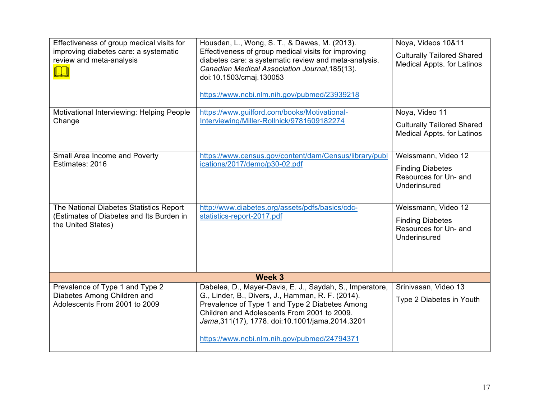| Effectiveness of group medical visits for<br>improving diabetes care: a systematic<br>review and meta-analysis | Housden, L., Wong, S. T., & Dawes, M. (2013).<br>Effectiveness of group medical visits for improving<br>diabetes care: a systematic review and meta-analysis.<br>Canadian Medical Association Journal, 185(13).<br>doi:10.1503/cmaj.130053<br>https://www.ncbi.nlm.nih.gov/pubmed/23939218                           | Noya, Videos 10&11<br><b>Culturally Tailored Shared</b><br><b>Medical Appts. for Latinos</b> |
|----------------------------------------------------------------------------------------------------------------|----------------------------------------------------------------------------------------------------------------------------------------------------------------------------------------------------------------------------------------------------------------------------------------------------------------------|----------------------------------------------------------------------------------------------|
| Motivational Interviewing: Helping People<br>Change                                                            | https://www.guilford.com/books/Motivational-<br>Interviewing/Miller-Rollnick/9781609182274                                                                                                                                                                                                                           | Noya, Video 11<br><b>Culturally Tailored Shared</b><br><b>Medical Appts. for Latinos</b>     |
| Small Area Income and Poverty<br>Estimates: 2016                                                               | https://www.census.gov/content/dam/Census/library/publ<br>ications/2017/demo/p30-02.pdf                                                                                                                                                                                                                              | Weissmann, Video 12<br><b>Finding Diabetes</b><br>Resources for Un- and<br>Underinsured      |
| The National Diabetes Statistics Report<br>(Estimates of Diabetes and Its Burden in<br>the United States)      | http://www.diabetes.org/assets/pdfs/basics/cdc-<br>statistics-report-2017.pdf                                                                                                                                                                                                                                        | Weissmann, Video 12<br><b>Finding Diabetes</b><br>Resources for Un- and<br>Underinsured      |
|                                                                                                                | Week 3                                                                                                                                                                                                                                                                                                               |                                                                                              |
| Prevalence of Type 1 and Type 2<br>Diabetes Among Children and<br>Adolescents From 2001 to 2009                | Dabelea, D., Mayer-Davis, E. J., Saydah, S., Imperatore,<br>G., Linder, B., Divers, J., Hamman, R. F. (2014).<br>Prevalence of Type 1 and Type 2 Diabetes Among<br>Children and Adolescents From 2001 to 2009.<br>Jama, 311(17), 1778. doi: 10.1001/jama. 2014. 3201<br>https://www.ncbi.nlm.nih.gov/pubmed/24794371 | Srinivasan, Video 13<br>Type 2 Diabetes in Youth                                             |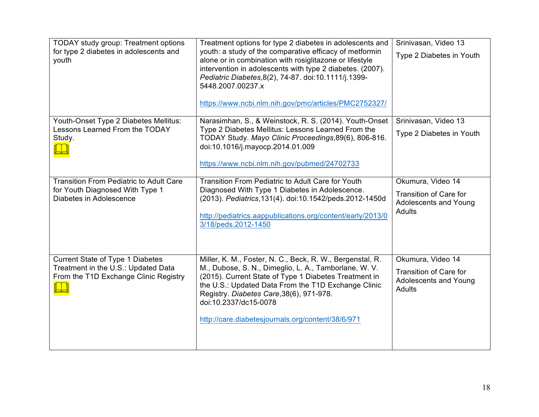| <b>TODAY</b> study group: Treatment options<br>for type 2 diabetes in adolescents and<br>youth                          | Treatment options for type 2 diabetes in adolescents and<br>youth: a study of the comparative efficacy of metformin<br>alone or in combination with rosiglitazone or lifestyle<br>intervention in adolescents with type 2 diabetes. (2007).<br>Pediatric Diabetes, 8(2), 74-87. doi:10.1111/j.1399-<br>5448.2007.00237.x<br>https://www.ncbi.nlm.nih.gov/pmc/articles/PMC2752327/ | Srinivasan, Video 13<br>Type 2 Diabetes in Youth                                             |
|-------------------------------------------------------------------------------------------------------------------------|-----------------------------------------------------------------------------------------------------------------------------------------------------------------------------------------------------------------------------------------------------------------------------------------------------------------------------------------------------------------------------------|----------------------------------------------------------------------------------------------|
| Youth-Onset Type 2 Diabetes Mellitus:<br>Lessons Learned From the TODAY<br>Study.                                       | Narasimhan, S., & Weinstock, R. S. (2014). Youth-Onset<br>Type 2 Diabetes Mellitus: Lessons Learned From the<br>TODAY Study. Mayo Clinic Proceedings, 89(6), 806-816.<br>doi:10.1016/j.mayocp.2014.01.009<br>https://www.ncbi.nlm.nih.gov/pubmed/24702733                                                                                                                         | Srinivasan, Video 13<br>Type 2 Diabetes in Youth                                             |
| <b>Transition From Pediatric to Adult Care</b><br>for Youth Diagnosed With Type 1<br>Diabetes in Adolescence            | Transition From Pediatric to Adult Care for Youth<br>Diagnosed With Type 1 Diabetes in Adolescence.<br>(2013). Pediatrics, 131(4). doi: 10.1542/peds. 2012-1450d<br>http://pediatrics.aappublications.org/content/early/2013/0<br>3/18/peds.2012-1450                                                                                                                             | Okumura, Video 14<br>Transition of Care for<br>Adolescents and Young<br><b>Adults</b>        |
| <b>Current State of Type 1 Diabetes</b><br>Treatment in the U.S.: Updated Data<br>From the T1D Exchange Clinic Registry | Miller, K. M., Foster, N. C., Beck, R. W., Bergenstal, R.<br>M., Dubose, S. N., Dimeglio, L. A., Tamborlane, W. V.<br>(2015). Current State of Type 1 Diabetes Treatment in<br>the U.S.: Updated Data From the T1D Exchange Clinic<br>Registry. Diabetes Care, 38(6), 971-978.<br>doi:10.2337/dc15-0078<br>http://care.diabetesjournals.org/content/38/6/971                      | Okumura, Video 14<br><b>Transition of Care for</b><br>Adolescents and Young<br><b>Adults</b> |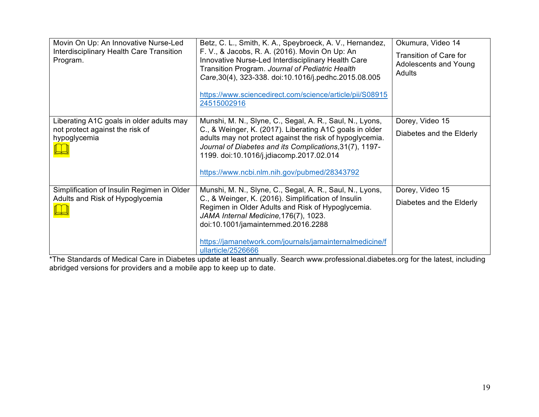| Movin On Up: An Innovative Nurse-Led<br>Interdisciplinary Health Care Transition<br>Program. | Betz, C. L., Smith, K. A., Speybroeck, A. V., Hernandez,<br>F. V., & Jacobs, R. A. (2016). Movin On Up: An<br>Innovative Nurse-Led Interdisciplinary Health Care<br>Transition Program. Journal of Pediatric Health<br>Care, 30(4), 323-338. doi:10.1016/j.pedhc.2015.08.005 | Okumura, Video 14<br><b>Transition of Care for</b><br>Adolescents and Young<br>Adults |
|----------------------------------------------------------------------------------------------|------------------------------------------------------------------------------------------------------------------------------------------------------------------------------------------------------------------------------------------------------------------------------|---------------------------------------------------------------------------------------|
|                                                                                              | https://www.sciencedirect.com/science/article/pii/S08915<br>24515002916                                                                                                                                                                                                      |                                                                                       |
| Liberating A1C goals in older adults may                                                     | Munshi, M. N., Slyne, C., Segal, A. R., Saul, N., Lyons,                                                                                                                                                                                                                     | Dorey, Video 15                                                                       |
| not protect against the risk of<br>hypoglycemia                                              | C., & Weinger, K. (2017). Liberating A1C goals in older<br>adults may not protect against the risk of hypoglycemia.<br>Journal of Diabetes and its Complications, 31(7), 1197-<br>1199. doi:10.1016/j.jdiacomp.2017.02.014<br>https://www.ncbi.nlm.nih.gov/pubmed/28343792   | Diabetes and the Elderly                                                              |
| Simplification of Insulin Regimen in Older                                                   | Munshi, M. N., Slyne, C., Segal, A. R., Saul, N., Lyons,                                                                                                                                                                                                                     | Dorey, Video 15                                                                       |
| Adults and Risk of Hypoglycemia                                                              | C., & Weinger, K. (2016). Simplification of Insulin<br>Regimen in Older Adults and Risk of Hypoglycemia.<br>JAMA Internal Medicine, 176(7), 1023.<br>doi:10.1001/jamainternmed.2016.2288<br>https://jamanetwork.com/journals/jamainternalmedicine/f                          | Diabetes and the Elderly                                                              |
|                                                                                              | ullarticle/2526666                                                                                                                                                                                                                                                           |                                                                                       |

\*The Standards of Medical Care in Diabetes update at least annually. Search www.professional.diabetes.org for the latest, including abridged versions for providers and a mobile app to keep up to date.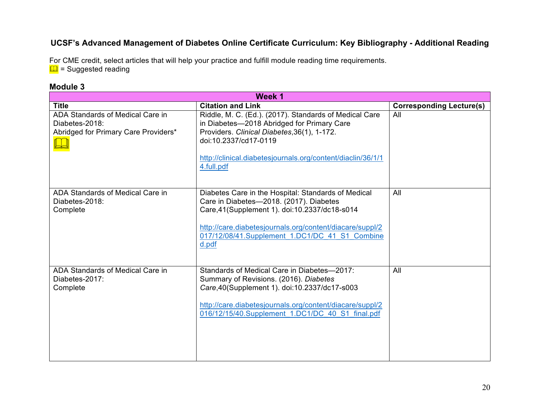# **UCSF's Advanced Management of Diabetes Online Certificate Curriculum: Key Bibliography - Additional Reading**

For CME credit, select articles that will help your practice and fulfill module reading time requirements.  $\Box$  = Suggested reading

#### **Module 3**

| Week 1                                                                                     |                                                                                                                                                                                                                                                                          |                                 |
|--------------------------------------------------------------------------------------------|--------------------------------------------------------------------------------------------------------------------------------------------------------------------------------------------------------------------------------------------------------------------------|---------------------------------|
| <b>Title</b>                                                                               | <b>Citation and Link</b>                                                                                                                                                                                                                                                 | <b>Corresponding Lecture(s)</b> |
| ADA Standards of Medical Care in<br>Diabetes-2018:<br>Abridged for Primary Care Providers* | Riddle, M. C. (Ed.). (2017). Standards of Medical Care<br>in Diabetes-2018 Abridged for Primary Care<br>Providers. Clinical Diabetes, 36(1), 1-172.<br>doi:10.2337/cd17-0119<br>http://clinical.diabetesjournals.org/content/diaclin/36/1/1<br>4.full.pdf                | All                             |
| ADA Standards of Medical Care in<br>Diabetes-2018:<br>Complete                             | Diabetes Care in the Hospital: Standards of Medical<br>Care in Diabetes-2018. (2017). Diabetes<br>Care, 41 (Supplement 1). doi: 10.2337/dc18-s014<br>http://care.diabetesjournals.org/content/diacare/suppl/2<br>017/12/08/41.Supplement 1.DC1/DC 41 S1 Combine<br>d.pdf | All                             |
| ADA Standards of Medical Care in<br>Diabetes-2017:<br>Complete                             | Standards of Medical Care in Diabetes-2017:<br>Summary of Revisions. (2016). Diabetes<br>Care, 40 (Supplement 1). doi: 10.2337/dc17-s003<br>http://care.diabetesjournals.org/content/diacare/suppl/2<br>016/12/15/40.Supplement 1.DC1/DC 40 S1 final.pdf                 | All                             |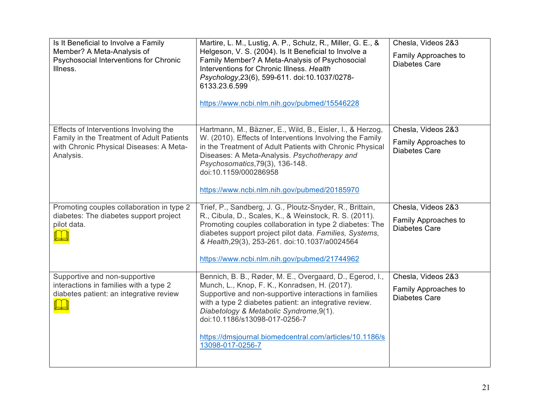| Is It Beneficial to Involve a Family<br>Member? A Meta-Analysis of<br>Psychosocial Interventions for Chronic<br>Illness.                    | Martire, L. M., Lustig, A. P., Schulz, R., Miller, G. E., &<br>Helgeson, V. S. (2004). Is It Beneficial to Involve a<br>Family Member? A Meta-Analysis of Psychosocial<br>Interventions for Chronic Illness. Health<br>Psychology, 23(6), 599-611. doi:10.1037/0278-<br>6133.23.6.599<br>https://www.ncbi.nlm.nih.gov/pubmed/15546228                                                    | Chesla, Videos 2&3<br>Family Approaches to<br><b>Diabetes Care</b> |
|---------------------------------------------------------------------------------------------------------------------------------------------|------------------------------------------------------------------------------------------------------------------------------------------------------------------------------------------------------------------------------------------------------------------------------------------------------------------------------------------------------------------------------------------|--------------------------------------------------------------------|
| Effects of Interventions Involving the<br>Family in the Treatment of Adult Patients<br>with Chronic Physical Diseases: A Meta-<br>Analysis. | Hartmann, M., Bäzner, E., Wild, B., Eisler, I., & Herzog,<br>W. (2010). Effects of Interventions Involving the Family<br>in the Treatment of Adult Patients with Chronic Physical<br>Diseases: A Meta-Analysis. Psychotherapy and<br>Psychosomatics, 79(3), 136-148.<br>doi:10.1159/000286958<br>https://www.ncbi.nlm.nih.gov/pubmed/20185970                                            | Chesla, Videos 2&3<br>Family Approaches to<br><b>Diabetes Care</b> |
| Promoting couples collaboration in type 2<br>diabetes: The diabetes support project<br>pilot data.                                          | Trief, P., Sandberg, J. G., Ploutz-Snyder, R., Brittain,<br>R., Cibula, D., Scales, K., & Weinstock, R. S. (2011).<br>Promoting couples collaboration in type 2 diabetes: The<br>diabetes support project pilot data. Families, Systems,<br>& Health, 29(3), 253-261. doi:10.1037/a0024564<br>https://www.ncbi.nlm.nih.gov/pubmed/21744962                                               | Chesla, Videos 2&3<br>Family Approaches to<br><b>Diabetes Care</b> |
| Supportive and non-supportive<br>interactions in families with a type 2<br>diabetes patient: an integrative review                          | Bennich, B. B., Røder, M. E., Overgaard, D., Egerod, I.,<br>Munch, L., Knop, F. K., Konradsen, H. (2017).<br>Supportive and non-supportive interactions in families<br>with a type 2 diabetes patient: an integrative review.<br>Diabetology & Metabolic Syndrome, 9(1).<br>doi:10.1186/s13098-017-0256-7<br>https://dmsjournal.biomedcentral.com/articles/10.1186/s<br>13098-017-0256-7 | Chesla, Videos 2&3<br>Family Approaches to<br><b>Diabetes Care</b> |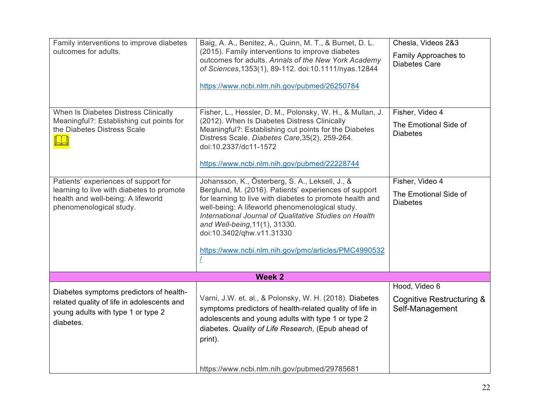| Family interventions to improve diabetes<br>outcomes for adults.                                                                                   | Baig, A. A., Benitez, A., Quinn, M. T., & Burnet, D. L.<br>(2015). Family interventions to improve diabetes<br>outcomes for adults. Annals of the New York Academy<br>of Sciences, 1353(1), 89-112. doi:10.1111/nyas. 12844<br>https://www.ncbi.nlm.nih.gov/pubmed/26250784                                                                                                                             | Chesla, Videos 2&3<br>Family Approaches to<br><b>Diabetes Care</b>       |
|----------------------------------------------------------------------------------------------------------------------------------------------------|---------------------------------------------------------------------------------------------------------------------------------------------------------------------------------------------------------------------------------------------------------------------------------------------------------------------------------------------------------------------------------------------------------|--------------------------------------------------------------------------|
| When Is Diabetes Distress Clinically<br>Meaningful?: Establishing cut points for<br>the Diabetes Distress Scale                                    | Fisher, L., Hessler, D. M., Polonsky, W. H., & Mullan, J.<br>(2012). When Is Diabetes Distress Clinically<br>Meaningful?: Establishing cut points for the Diabetes<br>Distress Scale. Diabetes Care, 35(2), 259-264.<br>doi:10.2337/dc11-1572<br>https://www.ncbi.nlm.nih.gov/pubmed/22228744                                                                                                           | Fisher, Video 4<br>The Emotional Side of<br><b>Diabetes</b>              |
| Patients' experiences of support for<br>learning to live with diabetes to promote<br>health and well-being: A lifeworld<br>phenomenological study. | Johansson, K., Österberg, S. A., Leksell, J., &<br>Berglund, M. (2016). Patients' experiences of support<br>for learning to live with diabetes to promote health and<br>well-being: A lifeworld phenomenological study.<br>International Journal of Qualitative Studies on Health<br>and Well-being, 11(1), 31330.<br>doi:10.3402/qhw.v11.31330<br>https://www.ncbi.nlm.nih.gov/pmc/articles/PMC4990532 | Fisher, Video 4<br>The Emotional Side of<br><b>Diabetes</b>              |
|                                                                                                                                                    | Week 2                                                                                                                                                                                                                                                                                                                                                                                                  |                                                                          |
| Diabetes symptoms predictors of health-<br>related quality of life in adolescents and<br>young adults with type 1 or type 2<br>diabetes.           | Varni, J.W. et. al., & Polonsky, W. H. (2018). Diabetes<br>symptoms predictors of health-related quality of life in<br>adolescents and young adults with type 1 or type 2<br>diabetes. Quality of Life Research, (Epub ahead of<br>print).                                                                                                                                                              | Hood, Video 6<br><b>Cognitive Restructuring &amp;</b><br>Self-Management |
|                                                                                                                                                    | https://www.ncbi.nlm.nih.gov/pubmed/29785681                                                                                                                                                                                                                                                                                                                                                            |                                                                          |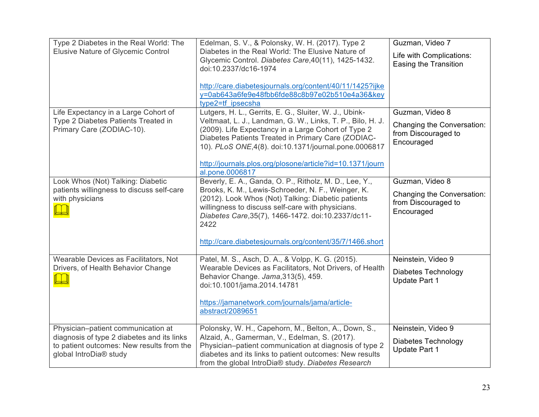| Type 2 Diabetes in the Real World: The                       | Edelman, S. V., & Polonsky, W. H. (2017). Type 2                                                              | Guzman, Video 7                                   |
|--------------------------------------------------------------|---------------------------------------------------------------------------------------------------------------|---------------------------------------------------|
| <b>Elusive Nature of Glycemic Control</b>                    | Diabetes in the Real World: The Elusive Nature of                                                             | Life with Complications:                          |
|                                                              | Glycemic Control. Diabetes Care, 40(11), 1425-1432.<br>doi:10.2337/dc16-1974                                  | Easing the Transition                             |
|                                                              |                                                                                                               |                                                   |
|                                                              | http://care.diabetesjournals.org/content/40/11/1425?ijke                                                      |                                                   |
|                                                              | y=0ab643a6fe9e48fbb6fde88c8b97e02b510e4a36&key                                                                |                                                   |
| Life Expectancy in a Large Cohort of                         | type2=tf ipsecsha<br>Lutgers, H. L., Gerrits, E. G., Sluiter, W. J., Ubink-                                   | Guzman, Video 8                                   |
| Type 2 Diabetes Patients Treated in                          | Veltmaat, L. J., Landman, G. W., Links, T. P., Bilo, H. J.                                                    |                                                   |
| Primary Care (ZODIAC-10).                                    | (2009). Life Expectancy in a Large Cohort of Type 2                                                           | Changing the Conversation:<br>from Discouraged to |
|                                                              | Diabetes Patients Treated in Primary Care (ZODIAC-                                                            | Encouraged                                        |
|                                                              | 10). PLoS ONE, 4(8). doi: 10.1371/journal.pone.0006817                                                        |                                                   |
|                                                              | http://journals.plos.org/plosone/article?id=10.1371/journ                                                     |                                                   |
|                                                              | al.pone.0006817                                                                                               |                                                   |
| Look Whos (Not) Talking: Diabetic                            | Beverly, E. A., Ganda, O. P., Ritholz, M. D., Lee, Y.,                                                        | Guzman, Video 8                                   |
| patients willingness to discuss self-care<br>with physicians | Brooks, K. M., Lewis-Schroeder, N. F., Weinger, K.<br>(2012). Look Whos (Not) Talking: Diabetic patients      | Changing the Conversation:                        |
|                                                              | willingness to discuss self-care with physicians.                                                             | from Discouraged to                               |
|                                                              | Diabetes Care, 35(7), 1466-1472. doi:10.2337/dc11-                                                            | Encouraged                                        |
|                                                              | 2422                                                                                                          |                                                   |
|                                                              | http://care.diabetesjournals.org/content/35/7/1466.short                                                      |                                                   |
|                                                              |                                                                                                               |                                                   |
| Wearable Devices as Facilitators, Not                        | Patel, M. S., Asch, D. A., & Volpp, K. G. (2015).                                                             | Neinstein, Video 9                                |
| Drivers, of Health Behavior Change                           | Wearable Devices as Facilitators, Not Drivers, of Health<br>Behavior Change. Jama, 313(5), 459.               | Diabetes Technology                               |
|                                                              | doi:10.1001/jama.2014.14781                                                                                   | Update Part 1                                     |
|                                                              |                                                                                                               |                                                   |
|                                                              | https://jamanetwork.com/journals/jama/article-                                                                |                                                   |
|                                                              | abstract/2089651                                                                                              |                                                   |
| Physician-patient communication at                           | Polonsky, W. H., Capehorn, M., Belton, A., Down, S.,                                                          | Neinstein, Video 9                                |
| diagnosis of type 2 diabetes and its links                   | Alzaid, A., Gamerman, V., Edelman, S. (2017).                                                                 | Diabetes Technology                               |
| to patient outcomes: New results from the                    | Physician-patient communication at diagnosis of type 2                                                        | <b>Update Part 1</b>                              |
| global IntroDia® study                                       | diabetes and its links to patient outcomes: New results<br>from the global IntroDia® study. Diabetes Research |                                                   |
|                                                              |                                                                                                               |                                                   |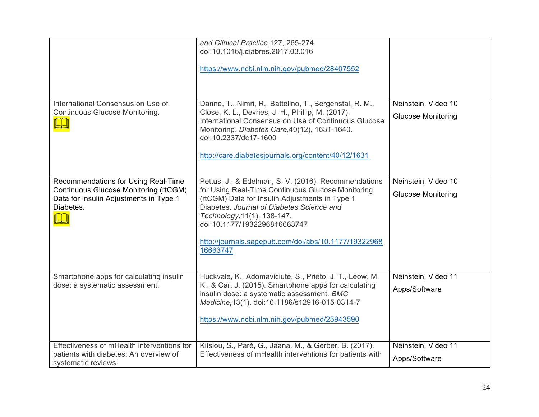|                                                                                                                                            | and Clinical Practice, 127, 265-274.<br>doi:10.1016/j.diabres.2017.03.016<br>https://www.ncbi.nlm.nih.gov/pubmed/28407552                                                                                                                                                                                                                   |                                                  |
|--------------------------------------------------------------------------------------------------------------------------------------------|---------------------------------------------------------------------------------------------------------------------------------------------------------------------------------------------------------------------------------------------------------------------------------------------------------------------------------------------|--------------------------------------------------|
| International Consensus on Use of<br><b>Continuous Glucose Monitoring.</b>                                                                 | Danne, T., Nimri, R., Battelino, T., Bergenstal, R. M.,<br>Close, K. L., Devries, J. H., Phillip, M. (2017).<br>International Consensus on Use of Continuous Glucose<br>Monitoring. Diabetes Care, 40(12), 1631-1640.<br>doi:10.2337/dc17-1600<br>http://care.diabetesjournals.org/content/40/12/1631                                       | Neinstein, Video 10<br><b>Glucose Monitoring</b> |
| Recommendations for Using Real-Time<br><b>Continuous Glucose Monitoring (rtCGM)</b><br>Data for Insulin Adjustments in Type 1<br>Diabetes. | Pettus, J., & Edelman, S. V. (2016). Recommendations<br>for Using Real-Time Continuous Glucose Monitoring<br>(rtCGM) Data for Insulin Adjustments in Type 1<br>Diabetes. Journal of Diabetes Science and<br>Technology, 11(1), 138-147.<br>doi:10.1177/1932296816663747<br>http://journals.sagepub.com/doi/abs/10.1177/19322968<br>16663747 | Neinstein, Video 10<br><b>Glucose Monitoring</b> |
| Smartphone apps for calculating insulin<br>dose: a systematic assessment.                                                                  | Huckvale, K., Adomaviciute, S., Prieto, J. T., Leow, M.<br>K., & Car, J. (2015). Smartphone apps for calculating<br>insulin dose: a systematic assessment. BMC<br>Medicine, 13(1). doi:10.1186/s12916-015-0314-7<br>https://www.ncbi.nlm.nih.gov/pubmed/25943590                                                                            | Neinstein, Video 11<br>Apps/Software             |
| Effectiveness of mHealth interventions for<br>patients with diabetes: An overview of<br>systematic reviews.                                | Kitsiou, S., Paré, G., Jaana, M., & Gerber, B. (2017).<br>Effectiveness of mHealth interventions for patients with                                                                                                                                                                                                                          | Neinstein, Video 11<br>Apps/Software             |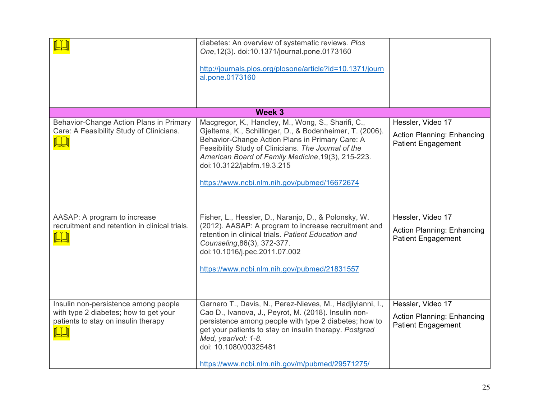|                                                                                                                      | diabetes: An overview of systematic reviews. Plos<br>One, 12(3). doi: 10.1371/journal.pone.0173160<br>http://journals.plos.org/plosone/article?id=10.1371/journ<br>al.pone.0173160                                                                                                                                                                           |                                                                                     |
|----------------------------------------------------------------------------------------------------------------------|--------------------------------------------------------------------------------------------------------------------------------------------------------------------------------------------------------------------------------------------------------------------------------------------------------------------------------------------------------------|-------------------------------------------------------------------------------------|
| Week 3                                                                                                               |                                                                                                                                                                                                                                                                                                                                                              |                                                                                     |
| Behavior-Change Action Plans in Primary<br>Care: A Feasibility Study of Clinicians.                                  | Macgregor, K., Handley, M., Wong, S., Sharifi, C.,<br>Gjeltema, K., Schillinger, D., & Bodenheimer, T. (2006).<br>Behavior-Change Action Plans in Primary Care: A<br>Feasibility Study of Clinicians. The Journal of the<br>American Board of Family Medicine, 19(3), 215-223.<br>doi:10.3122/jabfm.19.3.215<br>https://www.ncbi.nlm.nih.gov/pubmed/16672674 | Hessler, Video 17<br><b>Action Planning: Enhancing</b><br><b>Patient Engagement</b> |
| AASAP: A program to increase<br>recruitment and retention in clinical trials.                                        | Fisher, L., Hessler, D., Naranjo, D., & Polonsky, W.<br>(2012). AASAP: A program to increase recruitment and<br>retention in clinical trials. Patient Education and<br>Counseling, 86(3), 372-377.<br>doi:10.1016/j.pec.2011.07.002<br>https://www.ncbi.nlm.nih.gov/pubmed/21831557                                                                          | Hessler, Video 17<br><b>Action Planning: Enhancing</b><br><b>Patient Engagement</b> |
| Insulin non-persistence among people<br>with type 2 diabetes; how to get your<br>patients to stay on insulin therapy | Garnero T., Davis, N., Perez-Nieves, M., Hadjiyianni, I.,<br>Cao D., Ivanova, J., Peyrot, M. (2018). Insulin non-<br>persistence among people with type 2 diabetes; how to<br>get your patients to stay on insulin therapy. Postgrad<br>Med, year/vol: 1-8.<br>doi: 10.1080/00325481<br>https://www.ncbi.nlm.nih.gov/m/pubmed/29571275/                      | Hessler, Video 17<br><b>Action Planning: Enhancing</b><br><b>Patient Engagement</b> |